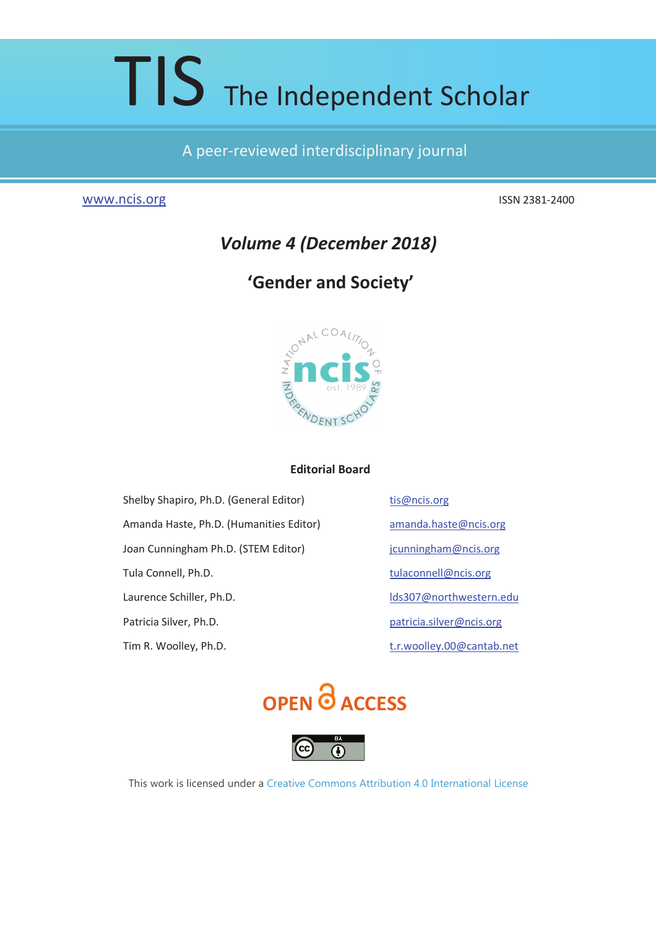# TIS The Independent Scholar

# A peer-reviewed interdisciplinary journal

# www.ncis.org

ISSN 2381-2400

# **Volume 4 (December 2018)**

# 'Gender and Society'



# **Editorial Board**

Shelby Shapiro, Ph.D. (General Editor) Amanda Haste, Ph.D. (Humanities Editor) Joan Cunningham Ph.D. (STEM Editor) Tula Connell, Ph.D. Laurence Schiller, Ph.D. Patricia Silver, Ph.D. Tim R. Woolley, Ph.D.

tis@ncis.org amanda.haste@ncis.org jcunningham@ncis.org tulaconnell@ncis.org Ids307@northwestern.edu patricia.silver@ncis.org t.r.woolley.00@cantab.net





This work is licensed under a Creative Commons Attribution 4.0 International License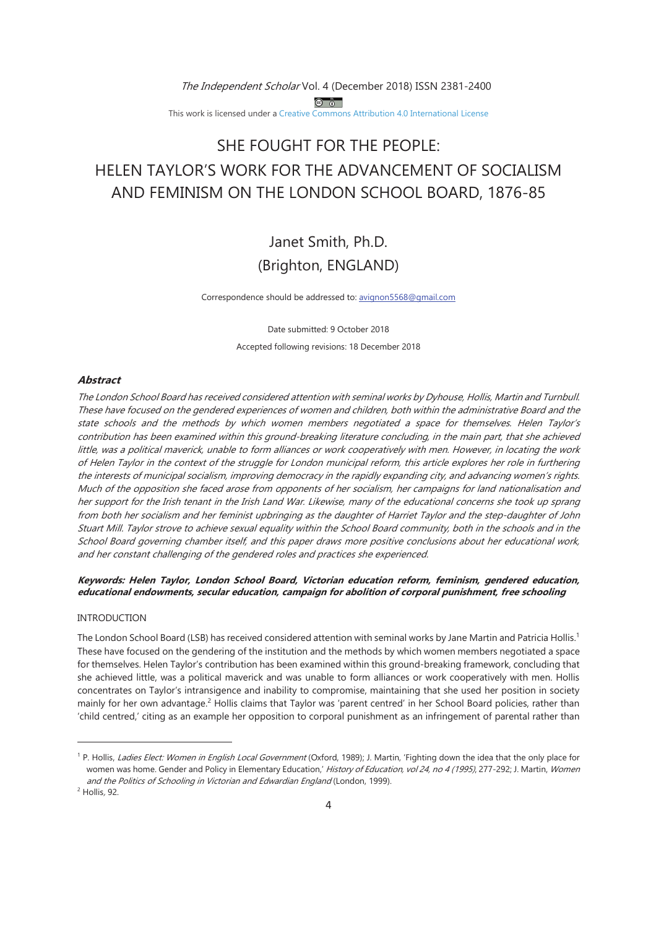The Independent Scholar Vol. 4 (December 2018) ISSN 2381-2400 <u>ේ බි</u> This work is licensed under a Creative Commons Attribution 4.0 International License

# SHE FOUGHT FOR THE PEOPLE: HELEN TAYLOR'S WORK FOR THE ADVANCEMENT OF SOCIALISM AND FEMINISM ON THE LONDON SCHOOL BOARD, 1876-85

Janet Smith, Ph.D. (Brighton, ENGLAND)

Correspondence should be addressed to: avignon5568@gmail.com

Date submitted: 9 October 2018 Accepted following revisions: 18 December 2018

# **Abstract**

The London School Board has received considered attention with seminal works by Dyhouse, Hollis, Martin and Turnbull. These have focused on the gendered experiences of women and children, both within the administrative Board and the state schools and the methods by which women members negotiated a space for themselves. Helen Taylor's contribution has been examined within this ground-breaking literature concluding, in the main part, that she achieved little, was a political maverick, unable to form alliances or work cooperatively with men. However, in locating the work of Helen Taylor in the context of the struggle for London municipal reform, this article explores her role in furthering the interests of municipal socialism, improving democracy in the rapidly expanding city, and advancing women's rights. Much of the opposition she faced arose from opponents of her socialism, her campaigns for land nationalisation and her support for the Irish tenant in the Irish Land War. Likewise, many of the educational concerns she took up sprang from both her socialism and her feminist upbringing as the daughter of Harriet Taylor and the step-daughter of John Stuart Mill. Taylor strove to achieve sexual equality within the School Board community, both in the schools and in the School Board governing chamber itself, and this paper draws more positive conclusions about her educational work, and her constant challenging of the gendered roles and practices she experienced.

# Keywords: Helen Taylor, London School Board, Victorian education reform, feminism, gendered education, educational endowments, secular education, campaign for abolition of corporal punishment, free schooling

#### **INTRODUCTION**

The London School Board (LSB) has received considered attention with seminal works by Jane Martin and Patricia Hollis.<sup>1</sup> These have focused on the gendering of the institution and the methods by which women members negotiated a space for themselves. Helen Taylor's contribution has been examined within this ground-breaking framework, concluding that she achieved little, was a political maverick and was unable to form alliances or work cooperatively with men. Hollis concentrates on Taylor's intransigence and inability to compromise, maintaining that she used her position in society mainly for her own advantage.<sup>2</sup> Hollis claims that Taylor was 'parent centred' in her School Board policies, rather than 'child centred,' citing as an example her opposition to corporal punishment as an infringement of parental rather than

<sup>&</sup>lt;sup>1</sup> P. Hollis, Ladies Elect: Women in English Local Government (Oxford, 1989); J. Martin, 'Fighting down the idea that the only place for women was home. Gender and Policy in Elementary Education,' History of Education, vol 24, no 4 (1995), 277-292; J. Martin, Women and the Politics of Schooling in Victorian and Edwardian England (London, 1999).

<sup>&</sup>lt;sup>2</sup> Hollis, 92.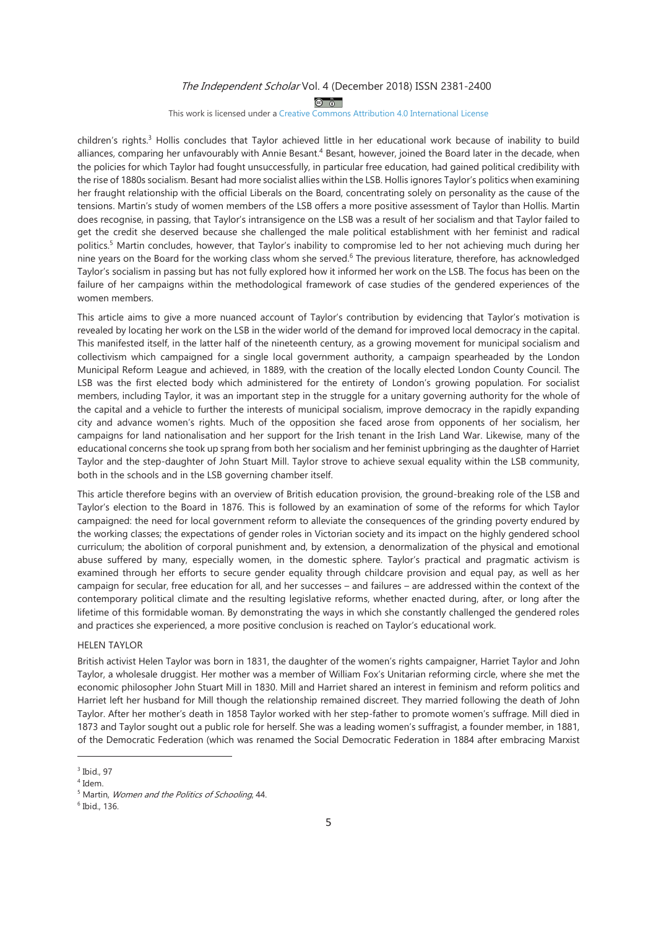$\circledcirc$ 

This work is licensed under a Creative Commons Attribution 4.0 International License

children's rights.<sup>3</sup> Hollis concludes that Taylor achieved little in her educational work because of inability to build alliances, comparing her unfavourably with Annie Besant.<sup>4</sup> Besant, however, joined the Board later in the decade, when the policies for which Taylor had fought unsuccessfully, in particular free education, had gained political credibility with the rise of 1880s socialism. Besant had more socialist allies within the LSB. Hollis ignores Taylor's politics when examining her fraught relationship with the official Liberals on the Board, concentrating solely on personality as the cause of the tensions. Martin's study of women members of the LSB offers a more positive assessment of Taylor than Hollis. Martin does recognise, in passing, that Taylor's intransigence on the LSB was a result of her socialism and that Taylor failed to get the credit she deserved because she challenged the male political establishment with her feminist and radical politics.<sup>5</sup> Martin concludes, however, that Taylor's inability to compromise led to her not achieving much during her nine years on the Board for the working class whom she served.<sup>6</sup> The previous literature, therefore, has acknowledged Taylor's socialism in passing but has not fully explored how it informed her work on the LSB. The focus has been on the failure of her campaigns within the methodological framework of case studies of the gendered experiences of the women members

This article aims to give a more nuanced account of Taylor's contribution by evidencing that Taylor's motivation is revealed by locating her work on the LSB in the wider world of the demand for improved local democracy in the capital. This manifested itself, in the latter half of the nineteenth century, as a growing movement for municipal socialism and collectivism which campaigned for a single local government authority, a campaign spearheaded by the London Municipal Reform League and achieved, in 1889, with the creation of the locally elected London County Council. The LSB was the first elected body which administered for the entirety of London's growing population. For socialist members, including Taylor, it was an important step in the struggle for a unitary governing authority for the whole of the capital and a vehicle to further the interests of municipal socialism, improve democracy in the rapidly expanding city and advance women's rights. Much of the opposition she faced arose from opponents of her socialism, her campaigns for land nationalisation and her support for the Irish tenant in the Irish Land War. Likewise, many of the educational concerns she took up sprang from both her socialism and her feminist upbringing as the daughter of Harriet Taylor and the step-daughter of John Stuart Mill. Taylor strove to achieve sexual equality within the LSB community, both in the schools and in the LSB governing chamber itself.

This article therefore begins with an overview of British education provision, the ground-breaking role of the LSB and Taylor's election to the Board in 1876. This is followed by an examination of some of the reforms for which Taylor campaigned: the need for local government reform to alleviate the consequences of the grinding poverty endured by the working classes; the expectations of gender roles in Victorian society and its impact on the highly gendered school curriculum; the abolition of corporal punishment and, by extension, a denormalization of the physical and emotional abuse suffered by many, especially women, in the domestic sphere. Taylor's practical and pragmatic activism is examined through her efforts to secure gender equality through childcare provision and equal pay, as well as her campaign for secular, free education for all, and her successes - and failures - are addressed within the context of the contemporary political climate and the resulting legislative reforms, whether enacted during, after, or long after the lifetime of this formidable woman. By demonstrating the ways in which she constantly challenged the gendered roles and practices she experienced, a more positive conclusion is reached on Taylor's educational work.

#### **HELEN TAYLOR**

British activist Helen Taylor was born in 1831, the daughter of the women's rights campaigner, Harriet Taylor and John Taylor, a wholesale druggist. Her mother was a member of William Fox's Unitarian reforming circle, where she met the economic philosopher John Stuart Mill in 1830. Mill and Harriet shared an interest in feminism and reform politics and Harriet left her husband for Mill though the relationship remained discreet. They married following the death of John Taylor. After her mother's death in 1858 Taylor worked with her step-father to promote women's suffrage. Mill died in 1873 and Taylor sought out a public role for herself. She was a leading women's suffragist, a founder member, in 1881, of the Democratic Federation (which was renamed the Social Democratic Federation in 1884 after embracing Marxist

<sup>&</sup>lt;sup>3</sup> Ibid., 97

 $4$  Idem.

<sup>&</sup>lt;sup>5</sup> Martin, Women and the Politics of Schooling, 44.

<sup>&</sup>lt;sup>6</sup> Ibid., 136.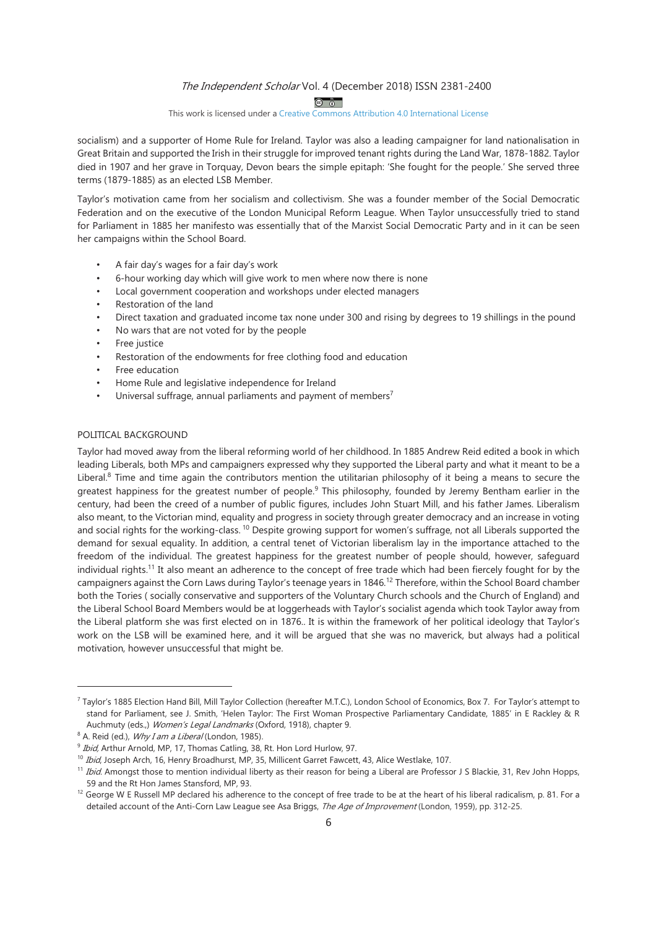<u>ේ බි</u>

#### This work is licensed under a Creative Commons Attribution 4.0 International License

socialism) and a supporter of Home Rule for Ireland. Taylor was also a leading campaigner for land nationalisation in Great Britain and supported the Irish in their struggle for improved tenant rights during the Land War, 1878-1882. Taylor died in 1907 and her grave in Torguay, Devon bears the simple epitaph: 'She fought for the people.' She served three terms (1879-1885) as an elected LSB Member.

Taylor's motivation came from her socialism and collectivism. She was a founder member of the Social Democratic Federation and on the executive of the London Municipal Reform League. When Taylor unsuccessfully tried to stand for Parliament in 1885 her manifesto was essentially that of the Marxist Social Democratic Party and in it can be seen her campaigns within the School Board.

- A fair day's wages for a fair day's work
- 6-hour working day which will give work to men where now there is none
- Local government cooperation and workshops under elected managers
- Restoration of the land
- Direct taxation and graduated income tax none under 300 and rising by degrees to 19 shillings in the pound
- No wars that are not voted for by the people
- Free justice
- Restoration of the endowments for free clothing food and education
- Free education
- Home Rule and legislative independence for Ireland
- Universal suffrage, annual parliaments and payment of members<sup>7</sup>

# POLITICAL BACKGROUND

Taylor had moved away from the liberal reforming world of her childhood. In 1885 Andrew Reid edited a book in which leading Liberals, both MPs and campaigners expressed why they supported the Liberal party and what it meant to be a Liberal.<sup>8</sup> Time and time again the contributors mention the utilitarian philosophy of it being a means to secure the greatest happiness for the greatest number of people.<sup>9</sup> This philosophy, founded by Jeremy Bentham earlier in the century, had been the creed of a number of public figures, includes John Stuart Mill, and his father James. Liberalism also meant, to the Victorian mind, equality and progress in society through greater democracy and an increase in voting and social rights for the working-class.<sup>10</sup> Despite growing support for women's suffrage, not all Liberals supported the demand for sexual equality. In addition, a central tenet of Victorian liberalism lay in the importance attached to the freedom of the individual. The greatest happiness for the greatest number of people should, however, safequard individual rights.<sup>11</sup> It also meant an adherence to the concept of free trade which had been fiercely fought for by the campaigners against the Corn Laws during Taylor's teenage years in 1846.<sup>12</sup> Therefore, within the School Board chamber both the Tories (socially conservative and supporters of the Voluntary Church schools and the Church of England) and the Liberal School Board Members would be at loggerheads with Taylor's socialist agenda which took Taylor away from the Liberal platform she was first elected on in 1876. It is within the framework of her political ideology that Taylor's work on the LSB will be examined here, and it will be argued that she was no maverick, but always had a political motivation, however unsuccessful that might be.

<sup>7</sup> Taylor's 1885 Election Hand Bill, Mill Taylor Collection (hereafter M.T.C.), London School of Economics, Box 7. For Taylor's attempt to stand for Parliament, see J. Smith, 'Helen Taylor: The First Woman Prospective Parliamentary Candidate, 1885' in E Rackley & R Auchmuty (eds.,) Women's Legal Landmarks (Oxford, 1918), chapter 9.

<sup>&</sup>lt;sup>8</sup> A. Reid (ed.), *Why I am a Liberal* (London, 1985).

<sup>&</sup>lt;sup>9</sup> Ibid, Arthur Arnold, MP, 17, Thomas Catling, 38, Rt. Hon Lord Hurlow, 97.

<sup>&</sup>lt;sup>10</sup> Ibid, Joseph Arch, 16, Henry Broadhurst, MP, 35, Millicent Garret Fawcett, 43, Alice Westlake, 107.

<sup>&</sup>lt;sup>11</sup> Ibid. Amongst those to mention individual liberty as their reason for being a Liberal are Professor J S Blackie, 31, Rev John Hopps, 59 and the Rt Hon James Stansford, MP, 93.

<sup>&</sup>lt;sup>12</sup> George W E Russell MP declared his adherence to the concept of free trade to be at the heart of his liberal radicalism, p. 81. For a detailed account of the Anti-Corn Law League see Asa Briggs, The Age of Improvement (London, 1959), pp. 312-25.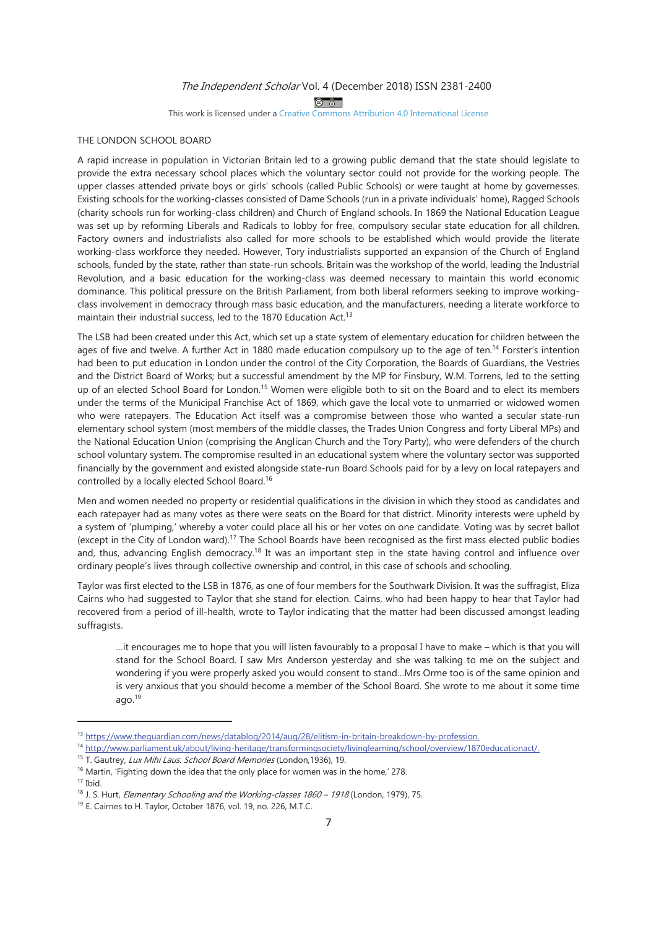$\circledcirc$   $\circledcirc$ 

This work is licensed under a Creative Commons Attribution 4.0 International License

# THE LONDON SCHOOL BOARD

A rapid increase in population in Victorian Britain led to a growing public demand that the state should legislate to provide the extra necessary school places which the voluntary sector could not provide for the working people. The upper classes attended private boys or girls' schools (called Public Schools) or were taught at home by governesses. Existing schools for the working-classes consisted of Dame Schools (run in a private individuals' home), Ragged Schools (charity schools run for working-class children) and Church of England schools. In 1869 the National Education League was set up by reforming Liberals and Radicals to lobby for free, compulsory secular state education for all children. Factory owners and industrialists also called for more schools to be established which would provide the literate working-class workforce they needed. However, Tory industrialists supported an expansion of the Church of England schools, funded by the state, rather than state-run schools. Britain was the workshop of the world, leading the Industrial Revolution, and a basic education for the working-class was deemed necessary to maintain this world economic dominance. This political pressure on the British Parliament, from both liberal reformers seeking to improve workingclass involvement in democracy through mass basic education, and the manufacturers, needing a literate workforce to maintain their industrial success, led to the 1870 Education Act.<sup>13</sup>

The LSB had been created under this Act, which set up a state system of elementary education for children between the ages of five and twelve. A further Act in 1880 made education compulsory up to the age of ten.<sup>14</sup> Forster's intention had been to put education in London under the control of the City Corporation, the Boards of Guardians, the Vestries and the District Board of Works; but a successful amendment by the MP for Finsbury, W.M. Torrens, led to the setting up of an elected School Board for London.<sup>15</sup> Women were eligible both to sit on the Board and to elect its members under the terms of the Municipal Franchise Act of 1869, which gave the local vote to unmarried or widowed women who were ratepayers. The Education Act itself was a compromise between those who wanted a secular state-run elementary school system (most members of the middle classes, the Trades Union Congress and forty Liberal MPs) and the National Education Union (comprising the Anglican Church and the Tory Party), who were defenders of the church school voluntary system. The compromise resulted in an educational system where the voluntary sector was supported financially by the government and existed alongside state-run Board Schools paid for by a levy on local ratepayers and controlled by a locally elected School Board.<sup>16</sup>

Men and women needed no property or residential qualifications in the division in which they stood as candidates and each ratepayer had as many votes as there were seats on the Board for that district. Minority interests were upheld by a system of 'plumping,' whereby a voter could place all his or her votes on one candidate. Voting was by secret ballot (except in the City of London ward).<sup>17</sup> The School Boards have been recognised as the first mass elected public bodies and, thus, advancing English democracy.<sup>18</sup> It was an important step in the state having control and influence over ordinary people's lives through collective ownership and control, in this case of schools and schooling.

Taylor was first elected to the LSB in 1876, as one of four members for the Southwark Division. It was the suffragist, Eliza Cairns who had suggested to Taylor that she stand for election. Cairns, who had been happy to hear that Taylor had recovered from a period of ill-health, wrote to Taylor indicating that the matter had been discussed amongst leading suffragists.

...it encourages me to hope that you will listen favourably to a proposal I have to make – which is that you will stand for the School Board. I saw Mrs Anderson yesterday and she was talking to me on the subject and wondering if you were properly asked you would consent to stand...Mrs Orme too is of the same opinion and is very anxious that you should become a member of the School Board. She wrote to me about it some time  $aqo.<sup>19</sup>$ 

<sup>&</sup>lt;sup>13</sup> https://www.thequardian.com/news/datablog/2014/aug/28/elitism-in-britain-breakdown-by-profession.

<sup>14</sup> http://www.parliament.uk/about/living-heritage/transformingsociety/livinglearning/school/overview/1870educationact/

<sup>&</sup>lt;sup>15</sup> T. Gautrey, *Lux Mihi Laus. School Board Memories* (London, 1936), 19.

<sup>&</sup>lt;sup>16</sup> Martin, 'Fighting down the idea that the only place for women was in the home,' 278.  $17$  Ibid.

<sup>&</sup>lt;sup>18</sup> J. S. Hurt, *Elementary Schooling and the Working-classes 1860 - 1918* (London, 1979), 75.

<sup>&</sup>lt;sup>19</sup> E. Cairnes to H. Taylor, October 1876, vol. 19, no. 226, M.T.C.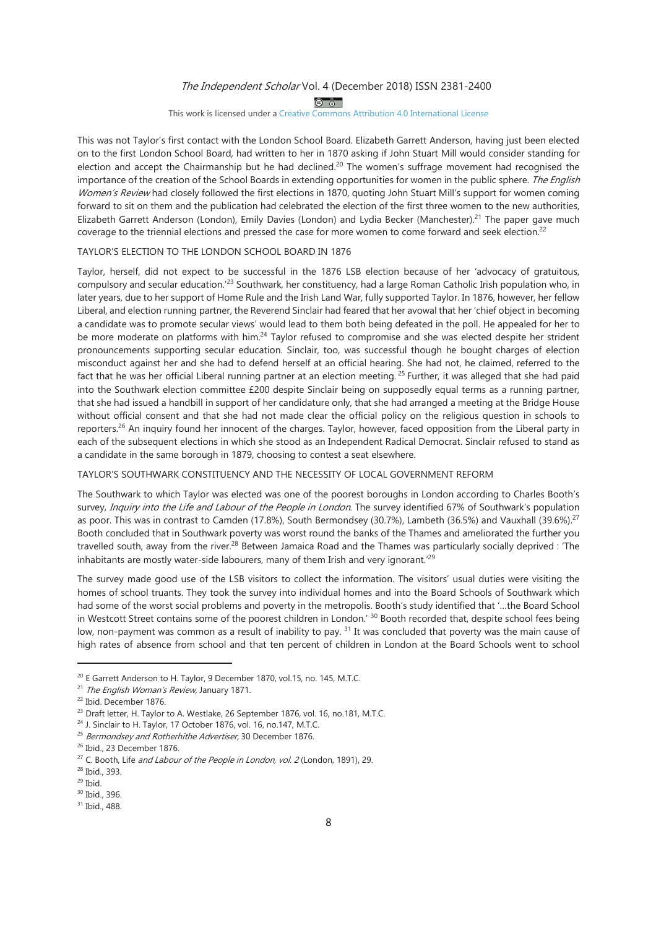$\circledcirc$ 

This work is licensed under a Creative Commons Attribution 4.0 International License

This was not Taylor's first contact with the London School Board. Elizabeth Garrett Anderson, having just been elected on to the first London School Board, had written to her in 1870 asking if John Stuart Mill would consider standing for election and accept the Chairmanship but he had declined.<sup>20</sup> The women's suffrage movement had recognised the importance of the creation of the School Boards in extending opportunities for women in the public sphere. The English Women's Review had closely followed the first elections in 1870, quoting John Stuart Mill's support for women coming forward to sit on them and the publication had celebrated the election of the first three women to the new authorities, Elizabeth Garrett Anderson (London), Emily Davies (London) and Lydia Becker (Manchester).<sup>21</sup> The paper gave much coverage to the triennial elections and pressed the case for more women to come forward and seek election.<sup>22</sup>

## TAYLOR'S ELECTION TO THE LONDON SCHOOL BOARD IN 1876

Taylor, herself, did not expect to be successful in the 1876 LSB election because of her 'advocacy of gratuitous, compulsory and secular education.<sup>'23</sup> Southwark, her constituency, had a large Roman Catholic Irish population who, in later years, due to her support of Home Rule and the Irish Land War, fully supported Taylor. In 1876, however, her fellow Liberal, and election running partner, the Reverend Sinclair had feared that her avowal that her 'chief object in becoming a candidate was to promote secular views' would lead to them both being defeated in the poll. He appealed for her to be more moderate on platforms with him.<sup>24</sup> Taylor refused to compromise and she was elected despite her strident pronouncements supporting secular education. Sinclair, too, was successful though he bought charges of election misconduct against her and she had to defend herself at an official hearing. She had not, he claimed, referred to the fact that he was her official Liberal running partner at an election meeting.<sup>25</sup> Further, it was alleged that she had paid into the Southwark election committee £200 despite Sinclair being on supposedly equal terms as a running partner, that she had issued a handbill in support of her candidature only, that she had arranged a meeting at the Bridge House without official consent and that she had not made clear the official policy on the religious question in schools to reporters.<sup>26</sup> An inquiry found her innocent of the charges. Taylor, however, faced opposition from the Liberal party in each of the subsequent elections in which she stood as an Independent Radical Democrat. Sinclair refused to stand as a candidate in the same borough in 1879, choosing to contest a seat elsewhere.

## TAYLOR'S SOUTHWARK CONSTITUENCY AND THE NECESSITY OF LOCAL GOVERNMENT REFORM

The Southwark to which Taylor was elected was one of the poorest boroughs in London according to Charles Booth's survey, Inquiry into the Life and Labour of the People in London. The survey identified 67% of Southwark's population as poor. This was in contrast to Camden (17.8%), South Bermondsey (30.7%), Lambeth (36.5%) and Vauxhall (39.6%).<sup>27</sup> Booth concluded that in Southwark poverty was worst round the banks of the Thames and ameliorated the further you travelled south, away from the river.<sup>28</sup> Between Jamaica Road and the Thames was particularly socially deprived : 'The inhabitants are mostly water-side labourers, many of them Irish and very ignorant.<sup>29</sup>

The survey made good use of the LSB visitors to collect the information. The visitors' usual duties were visiting the homes of school truants. They took the survey into individual homes and into the Board Schools of Southwark which had some of the worst social problems and poverty in the metropolis. Booth's study identified that '...the Board School in Westcott Street contains some of the poorest children in London.' 30 Booth recorded that, despite school fees being low, non-payment was common as a result of inability to pay. <sup>31</sup> It was concluded that poverty was the main cause of high rates of absence from school and that ten percent of children in London at the Board Schools went to school

<sup>&</sup>lt;sup>20</sup> E Garrett Anderson to H. Taylor, 9 December 1870, vol.15, no. 145, M.T.C.

<sup>&</sup>lt;sup>21</sup> The English Woman's Review, January 1871.

<sup>&</sup>lt;sup>22</sup> Ibid. December 1876.

<sup>&</sup>lt;sup>23</sup> Draft letter, H. Taylor to A. Westlake, 26 September 1876, vol. 16, no.181, M.T.C.

<sup>&</sup>lt;sup>24</sup> J. Sinclair to H. Taylor, 17 October 1876, vol. 16, no.147, M.T.C.

<sup>&</sup>lt;sup>25</sup> Bermondsey and Rotherhithe Advertiser, 30 December 1876.

<sup>&</sup>lt;sup>26</sup> Ibid., 23 December 1876.

<sup>&</sup>lt;sup>27</sup> C. Booth, Life *and Labour of the People in London, vol. 2* (London, 1891), 29.

<sup>&</sup>lt;sup>28</sup> Ibid., 393.

 $29$  Ibid.

<sup>&</sup>lt;sup>30</sup> Ibid., 396.

<sup>&</sup>lt;sup>31</sup> Ibid., 488.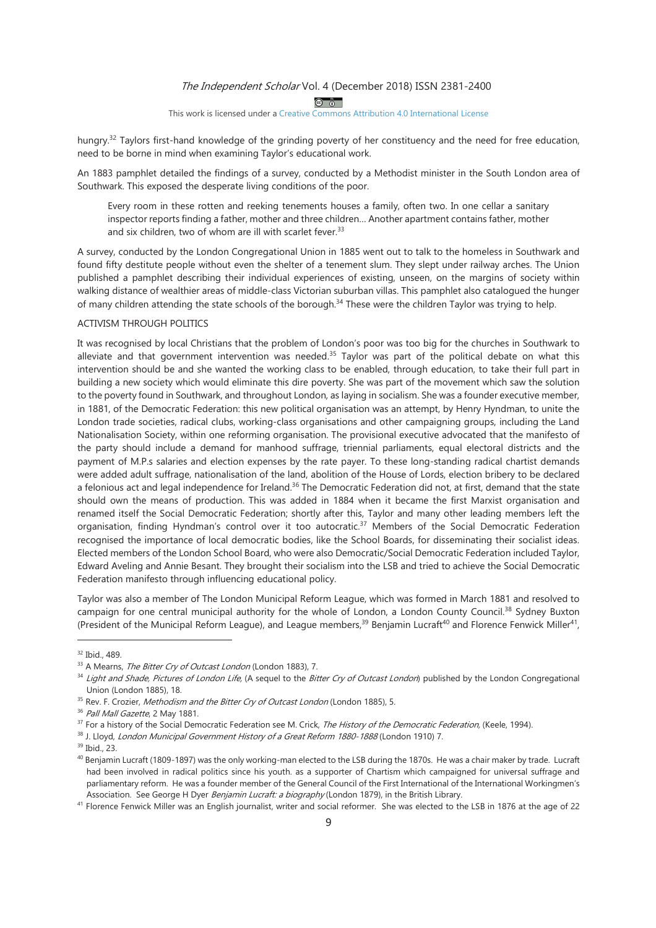$\circledcirc$ 

#### This work is licensed under a Creative Commons Attribution 4.0 International License

hungry.<sup>32</sup> Taylors first-hand knowledge of the grinding poverty of her constituency and the need for free education, need to be borne in mind when examining Taylor's educational work.

An 1883 pamphlet detailed the findings of a survey, conducted by a Methodist minister in the South London area of Southwark. This exposed the desperate living conditions of the poor.

Every room in these rotten and reeking tenements houses a family, often two. In one cellar a sanitary inspector reports finding a father, mother and three children... Another apartment contains father, mother and six children, two of whom are ill with scarlet fever.<sup>33</sup>

A survey, conducted by the London Congregational Union in 1885 went out to talk to the homeless in Southwark and found fifty destitute people without even the shelter of a tenement slum. They slept under railway arches. The Union published a pamphlet describing their individual experiences of existing, unseen, on the margins of society within walking distance of wealthier areas of middle-class Victorian suburban villas. This pamphlet also cataloqued the hunger of many children attending the state schools of the borough.<sup>34</sup> These were the children Taylor was trying to help.

# **ACTIVISM THROUGH POLITICS**

It was recognised by local Christians that the problem of London's poor was too big for the churches in Southwark to alleviate and that government intervention was needed.<sup>35</sup> Taylor was part of the political debate on what this intervention should be and she wanted the working class to be enabled, through education, to take their full part in building a new society which would eliminate this dire poverty. She was part of the movement which saw the solution to the poverty found in Southwark, and throughout London, as laying in socialism. She was a founder executive member, in 1881, of the Democratic Federation: this new political organisation was an attempt, by Henry Hyndman, to unite the London trade societies, radical clubs, working-class organisations and other campaigning groups, including the Land Nationalisation Society, within one reforming organisation. The provisional executive advocated that the manifesto of the party should include a demand for manhood suffrage, triennial parliaments, equal electoral districts and the payment of M.P.s salaries and election expenses by the rate payer. To these long-standing radical chartist demands were added adult suffrage, nationalisation of the land, abolition of the House of Lords, election bribery to be declared a felonious act and legal independence for Ireland.<sup>36</sup> The Democratic Federation did not, at first, demand that the state should own the means of production. This was added in 1884 when it became the first Marxist organisation and renamed itself the Social Democratic Federation; shortly after this, Taylor and many other leading members left the organisation, finding Hyndman's control over it too autocratic.<sup>37</sup> Members of the Social Democratic Federation recognised the importance of local democratic bodies, like the School Boards, for disseminating their socialist ideas. Elected members of the London School Board, who were also Democratic/Social Democratic Federation included Taylor, Edward Aveling and Annie Besant. They brought their socialism into the LSB and tried to achieve the Social Democratic Federation manifesto through influencing educational policy.

Taylor was also a member of The London Municipal Reform League, which was formed in March 1881 and resolved to campaign for one central municipal authority for the whole of London, a London County Council.<sup>38</sup> Sydney Buxton (President of the Municipal Reform League), and League members,<sup>39</sup> Benjamin Lucraft<sup>40</sup> and Florence Fenwick Miller<sup>41</sup>,

<sup>&</sup>lt;sup>32</sup> Ibid., 489.

<sup>&</sup>lt;sup>33</sup> A Mearns, *The Bitter Cry of Outcast London* (London 1883), 7.

<sup>&</sup>lt;sup>34</sup> Light and Shade, Pictures of London Life, (A sequel to the Bitter Cry of Outcast London) published by the London Congregational Union (London 1885), 18.

<sup>&</sup>lt;sup>35</sup> Rev. F. Crozier, Methodism and the Bitter Cry of Outcast London (London 1885), 5.

<sup>&</sup>lt;sup>36</sup> Pall Mall Gazette, 2 May 1881.

<sup>&</sup>lt;sup>37</sup> For a history of the Social Democratic Federation see M. Crick, *The History of the Democratic Federation*, (Keele, 1994).

<sup>&</sup>lt;sup>38</sup> J. Lloyd, *London Municipal Government History of a Great Reform 1880-1888* (London 1910) 7.

<sup>&</sup>lt;sup>39</sup> Ibid., 23.

<sup>&</sup>lt;sup>40</sup> Benjamin Lucraft (1809-1897) was the only working-man elected to the LSB during the 1870s. He was a chair maker by trade. Lucraft had been involved in radical politics since his youth. as a supporter of Chartism which campaigned for universal suffrage and parliamentary reform. He was a founder member of the General Council of the First International of the International Workingmen's Association. See George H Dyer Benjamin Lucraft: a biography (London 1879), in the British Library.

<sup>&</sup>lt;sup>41</sup> Florence Fenwick Miller was an English journalist, writer and social reformer. She was elected to the LSB in 1876 at the age of 22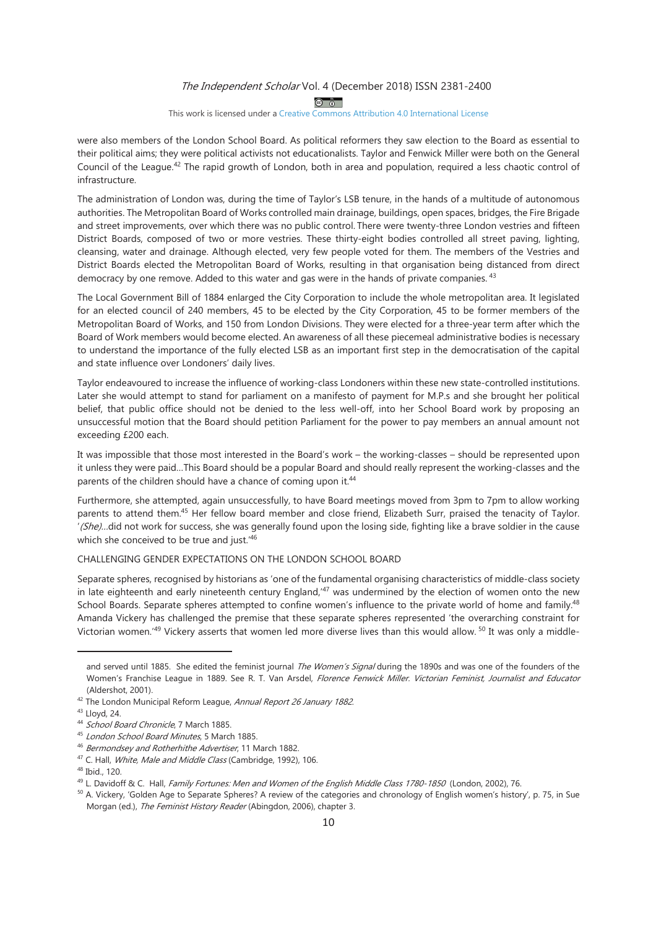$\circledcirc$ 

#### This work is licensed under a Creative Commons Attribution 4.0 International License

were also members of the London School Board. As political reformers they saw election to the Board as essential to their political aims; they were political activists not educationalists. Taylor and Fenwick Miller were both on the General Council of the League.<sup>42</sup> The rapid growth of London, both in area and population, required a less chaotic control of infrastructure.

The administration of London was, during the time of Taylor's LSB tenure, in the hands of a multitude of autonomous authorities. The Metropolitan Board of Works controlled main drainage, buildings, open spaces, bridges, the Fire Brigade and street improvements, over which there was no public control. There were twenty-three London vestries and fifteen District Boards, composed of two or more vestries. These thirty-eight bodies controlled all street paving, lighting, cleansing, water and drainage. Although elected, very few people voted for them. The members of the Vestries and District Boards elected the Metropolitan Board of Works, resulting in that organisation being distanced from direct democracy by one remove. Added to this water and gas were in the hands of private companies. 43

The Local Government Bill of 1884 enlarged the City Corporation to include the whole metropolitan area. It legislated for an elected council of 240 members, 45 to be elected by the City Corporation, 45 to be former members of the Metropolitan Board of Works, and 150 from London Divisions. They were elected for a three-year term after which the Board of Work members would become elected. An awareness of all these piecemeal administrative bodies is necessary to understand the importance of the fully elected LSB as an important first step in the democratisation of the capital and state influence over Londoners' daily lives.

Taylor endeavoured to increase the influence of working-class Londoners within these new state-controlled institutions. Later she would attempt to stand for parliament on a manifesto of payment for M.P.s and she brought her political belief, that public office should not be denied to the less well-off, into her School Board work by proposing an unsuccessful motion that the Board should petition Parliament for the power to pay members an annual amount not exceeding £200 each.

It was impossible that those most interested in the Board's work - the working-classes - should be represented upon it unless they were paid...This Board should be a popular Board and should really represent the working-classes and the parents of the children should have a chance of coming upon it.<sup>44</sup>

Furthermore, she attempted, again unsuccessfully, to have Board meetings moved from 3pm to 7pm to allow working parents to attend them.<sup>45</sup> Her fellow board member and close friend, Elizabeth Surr, praised the tenacity of Taylor. (She)...did not work for success, she was generally found upon the losing side, fighting like a brave soldier in the cause which she conceived to be true and just."46

## CHALLENGING GENDER EXPECTATIONS ON THE LONDON SCHOOL BOARD

Separate spheres, recognised by historians as 'one of the fundamental organising characteristics of middle-class society in late eighteenth and early nineteenth century England,<sup>47</sup> was undermined by the election of women onto the new School Boards. Separate spheres attempted to confine women's influence to the private world of home and family.<sup>48</sup> Amanda Vickery has challenged the premise that these separate spheres represented 'the overarching constraint for Victorian women.<sup>49</sup> Vickery asserts that women led more diverse lives than this would allow.<sup>50</sup> It was only a middle-

and served until 1885. She edited the feminist journal The Women's Signal during the 1890s and was one of the founders of the Women's Franchise League in 1889. See R. T. Van Arsdel, Florence Fenwick Miller. Victorian Feminist, Journalist and Educator (Aldershot, 2001).

<sup>&</sup>lt;sup>42</sup> The London Municipal Reform League, Annual Report 26 January 1882.

<sup>&</sup>lt;sup>43</sup> Lloyd, 24.

<sup>&</sup>lt;sup>44</sup> School Board Chronicle, 7 March 1885.

<sup>&</sup>lt;sup>45</sup> London School Board Minutes, 5 March 1885.

<sup>&</sup>lt;sup>46</sup> Bermondsey and Rotherhithe Advertiser, 11 March 1882.

<sup>&</sup>lt;sup>47</sup> C. Hall, *White, Male and Middle Class* (Cambridge, 1992), 106.

<sup>&</sup>lt;sup>48</sup> Ibid., 120.

<sup>&</sup>lt;sup>49</sup> L. Davidoff & C. Hall, Family Fortunes: Men and Women of the English Middle Class 1780-1850 (London, 2002), 76.

<sup>&</sup>lt;sup>50</sup> A. Vickery, 'Golden Age to Separate Spheres? A review of the categories and chronology of English women's history', p. 75, in Sue Morgan (ed.), The Feminist History Reader (Abingdon, 2006), chapter 3.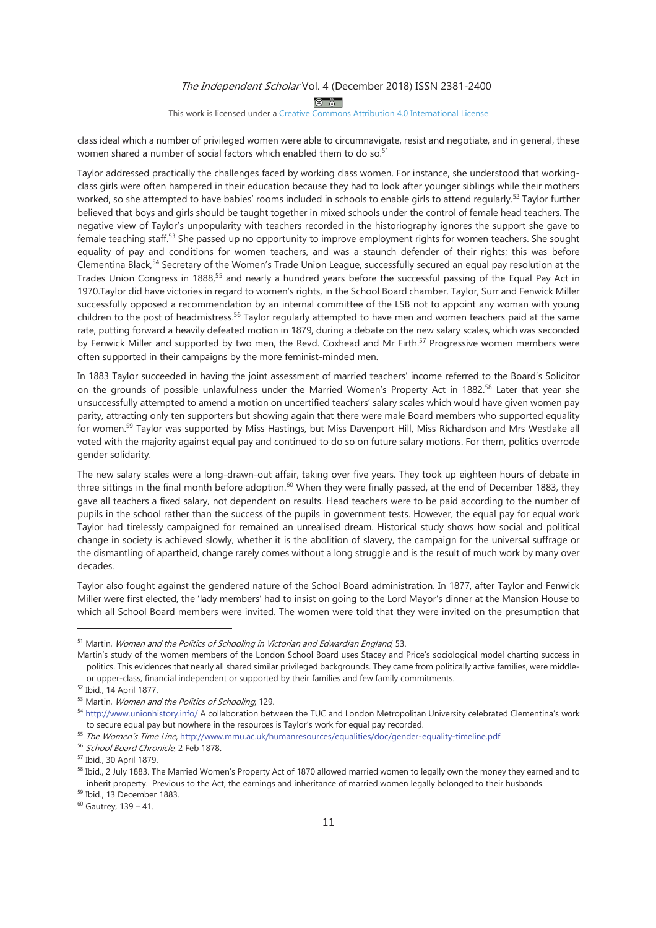$\circledcirc$ 

#### This work is licensed under a Creative Commons Attribution 4.0 International License

class ideal which a number of privileged women were able to circumnavigate, resist and negotiate, and in general, these women shared a number of social factors which enabled them to do so.<sup>51</sup>

Taylor addressed practically the challenges faced by working class women. For instance, she understood that workingclass girls were often hampered in their education because they had to look after younger siblings while their mothers worked, so she attempted to have babies' rooms included in schools to enable girls to attend regularly.<sup>52</sup> Taylor further believed that boys and girls should be taught together in mixed schools under the control of female head teachers. The negative view of Taylor's unpopularity with teachers recorded in the historiography ignores the support she gave to female teaching staff.<sup>53</sup> She passed up no opportunity to improve employment rights for women teachers. She sought equality of pay and conditions for women teachers, and was a staunch defender of their rights; this was before Clementina Black,<sup>54</sup> Secretary of the Women's Trade Union League, successfully secured an equal pay resolution at the Trades Union Congress in 1888,<sup>55</sup> and nearly a hundred years before the successful passing of the Equal Pay Act in 1970. Taylor did have victories in regard to women's rights, in the School Board chamber. Taylor, Surr and Fenwick Miller successfully opposed a recommendation by an internal committee of the LSB not to appoint any woman with young children to the post of headmistress.<sup>56</sup> Taylor regularly attempted to have men and women teachers paid at the same rate, putting forward a heavily defeated motion in 1879, during a debate on the new salary scales, which was seconded by Fenwick Miller and supported by two men, the Revd. Coxhead and Mr Firth.<sup>57</sup> Progressive women members were often supported in their campaigns by the more feminist-minded men.

In 1883 Taylor succeeded in having the joint assessment of married teachers' income referred to the Board's Solicitor on the grounds of possible unlawfulness under the Married Women's Property Act in 1882.<sup>58</sup> Later that year she unsuccessfully attempted to amend a motion on uncertified teachers' salary scales which would have given women pay parity, attracting only ten supporters but showing again that there were male Board members who supported equality for women.<sup>59</sup> Taylor was supported by Miss Hastings, but Miss Davenport Hill, Miss Richardson and Mrs Westlake all voted with the majority against equal pay and continued to do so on future salary motions. For them, politics overrode gender solidarity.

The new salary scales were a long-drawn-out affair, taking over five years. They took up eighteen hours of debate in three sittings in the final month before adoption.<sup>60</sup> When they were finally passed, at the end of December 1883, they gave all teachers a fixed salary, not dependent on results. Head teachers were to be paid according to the number of pupils in the school rather than the success of the pupils in government tests. However, the equal pay for equal work Taylor had tirelessly campaigned for remained an unrealised dream. Historical study shows how social and political change in society is achieved slowly, whether it is the abolition of slavery, the campaign for the universal suffrage or the dismantling of apartheid, change rarely comes without a long struggle and is the result of much work by many over decades.

Taylor also fought against the gendered nature of the School Board administration. In 1877, after Taylor and Fenwick Miller were first elected, the 'lady members' had to insist on going to the Lord Mayor's dinner at the Mansion House to which all School Board members were invited. The women were told that they were invited on the presumption that

<sup>&</sup>lt;sup>51</sup> Martin, Women and the Politics of Schooling in Victorian and Edwardian England, 53.

Martin's study of the women members of the London School Board uses Stacey and Price's sociological model charting success in politics. This evidences that nearly all shared similar privileged backgrounds. They came from politically active families, were middleor upper-class, financial independent or supported by their families and few family commitments.

<sup>&</sup>lt;sup>52</sup> Ibid., 14 April 1877.

<sup>&</sup>lt;sup>53</sup> Martin, Women and the Politics of Schooling, 129.

<sup>54</sup> http://www.unionhistory.info/ A collaboration between the TUC and London Metropolitan University celebrated Clementina's work to secure equal pay but nowhere in the resources is Taylor's work for equal pay recorded.

<sup>&</sup>lt;sup>55</sup> The Women's Time Line, http://www.mmu.ac.uk/humanresources/equalities/doc/gender-equality-timeline.pdf

<sup>56</sup> School Board Chronicle, 2 Feb 1878.

<sup>&</sup>lt;sup>57</sup> Ibid., 30 April 1879.

<sup>&</sup>lt;sup>58</sup> Ibid., 2 July 1883. The Married Women's Property Act of 1870 allowed married women to legally own the money they earned and to inherit property. Previous to the Act, the earnings and inheritance of married women legally belonged to their husbands.

<sup>&</sup>lt;sup>59</sup> Ibid., 13 December 1883.

 $60$  Gautrey, 139 - 41.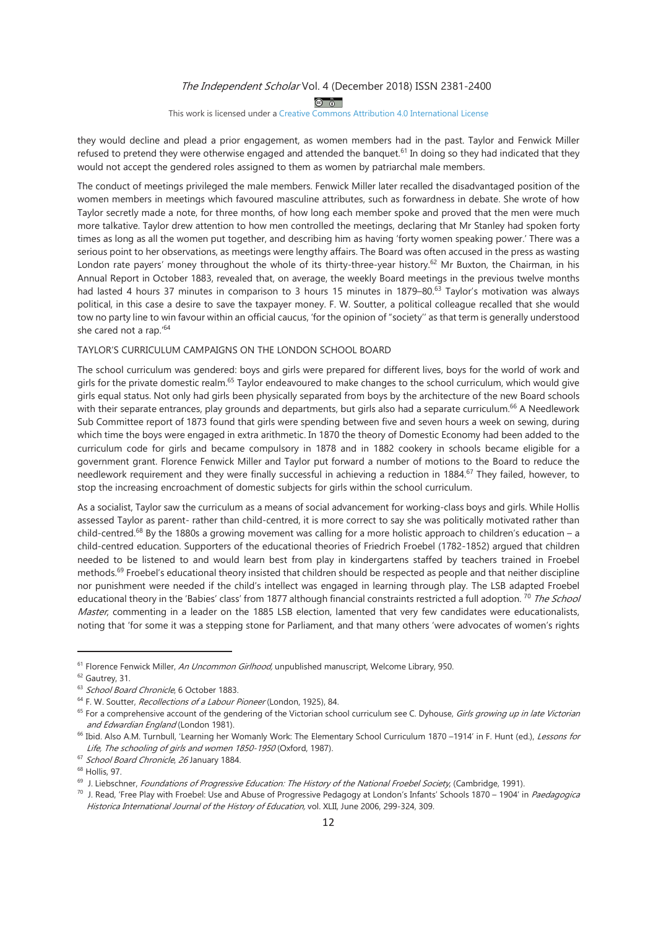$\circledcirc$ 

#### This work is licensed under a Creative Commons Attribution 4.0 International License

they would decline and plead a prior engagement, as women members had in the past. Taylor and Fenwick Miller refused to pretend they were otherwise engaged and attended the banguet.<sup>61</sup> In doing so they had indicated that they would not accept the gendered roles assigned to them as women by patriarchal male members.

The conduct of meetings privileged the male members. Fenwick Miller later recalled the disadvantaged position of the women members in meetings which favoured masculine attributes, such as forwardness in debate. She wrote of how Taylor secretly made a note, for three months, of how long each member spoke and proved that the men were much more talkative. Taylor drew attention to how men controlled the meetings, declaring that Mr Stanley had spoken forty times as long as all the women put together, and describing him as having 'forty women speaking power.' There was a serious point to her observations, as meetings were lengthy affairs. The Board was often accused in the press as wasting London rate payers' money throughout the whole of its thirty-three-year history.<sup>62</sup> Mr Buxton, the Chairman, in his Annual Report in October 1883, revealed that, on average, the weekly Board meetings in the previous twelve months had lasted 4 hours 37 minutes in comparison to 3 hours 15 minutes in 1879-80.<sup>63</sup> Taylor's motivation was always political, in this case a desire to save the taxpayer money. F. W. Soutter, a political colleague recalled that she would tow no party line to win favour within an official caucus, 'for the opinion of "society" as that term is generally understood she cared not a rap.'64

# TAYLOR'S CURRICULUM CAMPAIGNS ON THE LONDON SCHOOL BOARD

The school curriculum was gendered: boys and girls were prepared for different lives, boys for the world of work and airls for the private domestic realm.<sup>65</sup> Taylor endeavoured to make changes to the school curriculum, which would give girls equal status. Not only had girls been physically separated from boys by the architecture of the new Board schools with their separate entrances, play grounds and departments, but girls also had a separate curriculum.<sup>66</sup> A Needlework Sub Committee report of 1873 found that girls were spending between five and seven hours a week on sewing, during which time the boys were engaged in extra arithmetic. In 1870 the theory of Domestic Economy had been added to the curriculum code for girls and became compulsory in 1878 and in 1882 cookery in schools became eligible for a government grant. Florence Fenwick Miller and Taylor put forward a number of motions to the Board to reduce the needlework requirement and they were finally successful in achieving a reduction in 1884.<sup>67</sup> They failed, however, to stop the increasing encroachment of domestic subjects for girls within the school curriculum.

As a socialist, Taylor saw the curriculum as a means of social advancement for working-class boys and girls. While Hollis assessed Taylor as parent- rather than child-centred, it is more correct to say she was politically motivated rather than child-centred.<sup>68</sup> By the 1880s a growing movement was calling for a more holistic approach to children's education - a child-centred education. Supporters of the educational theories of Friedrich Froebel (1782-1852) argued that children needed to be listened to and would learn best from play in kindergartens staffed by teachers trained in Froebel methods.<sup>69</sup> Froebel's educational theory insisted that children should be respected as people and that neither discipline nor punishment were needed if the child's intellect was engaged in learning through play. The LSB adapted Froebel educational theory in the 'Babies' class' from 1877 although financial constraints restricted a full adoption.<sup>70</sup> The School Master, commenting in a leader on the 1885 LSB election, lamented that very few candidates were educationalists, noting that 'for some it was a stepping stone for Parliament, and that many others 'were advocates of women's rights

<sup>&</sup>lt;sup>61</sup> Florence Fenwick Miller, An Uncommon Girlhood, unpublished manuscript, Welcome Library, 950.

 $62$  Gautrey, 31.

<sup>&</sup>lt;sup>63</sup> School Board Chronicle, 6 October 1883.

<sup>&</sup>lt;sup>64</sup> F. W. Soutter, Recollections of a Labour Pioneer (London, 1925), 84.

<sup>&</sup>lt;sup>65</sup> For a comprehensive account of the gendering of the Victorian school curriculum see C. Dyhouse, *Girls growing up in late Victorian* and Edwardian England (London 1981).

<sup>&</sup>lt;sup>66</sup> Ibid. Also A.M. Turnbull, 'Learning her Womanly Work: The Elementary School Curriculum 1870 –1914' in F. Hunt (ed.), Lessons for Life, The schooling of girls and women 1850-1950 (Oxford, 1987).

<sup>&</sup>lt;sup>67</sup> School Board Chronicle, 26 January 1884.

<sup>&</sup>lt;sup>68</sup> Hollis, 97.

<sup>&</sup>lt;sup>69</sup> J. Liebschner, *Foundations of Progressive Education: The History of the National Froebel Society*, (Cambridge, 1991).

<sup>&</sup>lt;sup>70</sup> J. Read, 'Free Play with Froebel: Use and Abuse of Progressive Pedagogy at London's Infants' Schools 1870 – 1904' in Paedagogica Historica International Journal of the History of Education, vol. XLII, June 2006, 299-324, 309.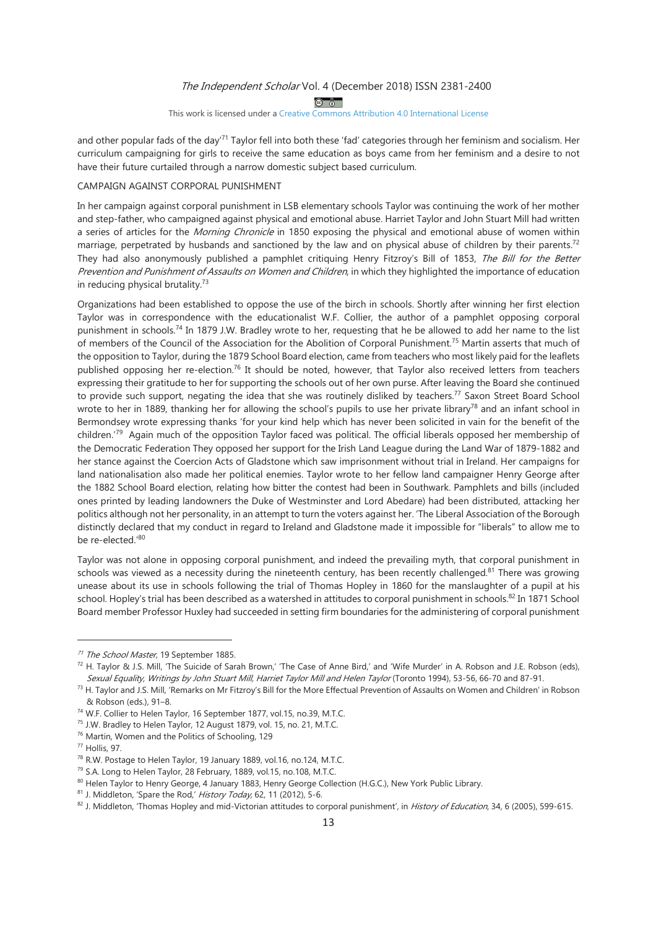$\circledcirc$ 

This work is licensed under a Creative Commons Attribution 4.0 International License

and other popular fads of the day<sup>71</sup> Taylor fell into both these 'fad' categories through her feminism and socialism. Her curriculum campaigning for girls to receive the same education as boys came from her feminism and a desire to not have their future curtailed through a narrow domestic subject based curriculum.

## CAMPAIGN AGAINST CORPORAL PUNISHMENT

In her campaign against corporal punishment in LSB elementary schools Taylor was continuing the work of her mother and step-father, who campaigned against physical and emotional abuse. Harriet Taylor and John Stuart Mill had written a series of articles for the Morning Chronicle in 1850 exposing the physical and emotional abuse of women within marriage, perpetrated by husbands and sanctioned by the law and on physical abuse of children by their parents.<sup>72</sup> They had also anonymously published a pamphlet critiquing Henry Fitzroy's Bill of 1853, The Bill for the Better Prevention and Punishment of Assaults on Women and Children, in which they highlighted the importance of education in reducing physical brutality. $73$ 

Organizations had been established to oppose the use of the birch in schools. Shortly after winning her first election Taylor was in correspondence with the educationalist W.F. Collier, the author of a pamphlet opposing corporal punishment in schools.<sup>74</sup> In 1879 J.W. Bradley wrote to her, requesting that he be allowed to add her name to the list of members of the Council of the Association for the Abolition of Corporal Punishment.<sup>75</sup> Martin asserts that much of the opposition to Taylor, during the 1879 School Board election, came from teachers who most likely paid for the leaflets published opposing her re-election.<sup>76</sup> It should be noted, however, that Taylor also received letters from teachers expressing their gratitude to her for supporting the schools out of her own purse. After leaving the Board she continued to provide such support, negating the idea that she was routinely disliked by teachers.<sup>77</sup> Saxon Street Board School wrote to her in 1889, thanking her for allowing the school's pupils to use her private library<sup>78</sup> and an infant school in Bermondsey wrote expressing thanks 'for your kind help which has never been solicited in vain for the benefit of the children.<sup>79</sup> Again much of the opposition Taylor faced was political. The official liberals opposed her membership of the Democratic Federation They opposed her support for the Irish Land League during the Land War of 1879-1882 and her stance against the Coercion Acts of Gladstone which saw imprisonment without trial in Ireland. Her campaigns for land nationalisation also made her political enemies. Taylor wrote to her fellow land campaigner Henry George after the 1882 School Board election, relating how bitter the contest had been in Southwark. Pamphlets and bills (included ones printed by leading landowners the Duke of Westminster and Lord Abedare) had been distributed, attacking her politics although not her personality, in an attempt to turn the voters against her. 'The Liberal Association of the Borough distinctly declared that my conduct in regard to Ireland and Gladstone made it impossible for "liberals" to allow me to be re-elected.'80

Taylor was not alone in opposing corporal punishment, and indeed the prevailing myth, that corporal punishment in schools was viewed as a necessity during the nineteenth century, has been recently challenged.<sup>81</sup> There was growing unease about its use in schools following the trial of Thomas Hopley in 1860 for the manslaughter of a pupil at his school. Hopley's trial has been described as a watershed in attitudes to corporal punishment in schools.<sup>82</sup> In 1871 School Board member Professor Huxley had succeeded in setting firm boundaries for the administering of corporal punishment

<sup>&</sup>lt;sup>71</sup> The School Master, 19 September 1885.

<sup>72</sup> H. Taylor & J.S. Mill, 'The Suicide of Sarah Brown,' 'The Case of Anne Bird,' and 'Wife Murder' in A. Robson and J.E. Robson (eds), Sexual Equality, Writings by John Stuart Mill, Harriet Taylor Mill and Helen Taylor (Toronto 1994), 53-56, 66-70 and 87-91.

<sup>73</sup> H. Taylor and J.S. Mill, 'Remarks on Mr Fitzroy's Bill for the More Effectual Prevention of Assaults on Women and Children' in Robson & Robson (eds.), 91-8.

<sup>&</sup>lt;sup>74</sup> W.F. Collier to Helen Taylor, 16 September 1877, vol.15, no.39, M.T.C.

<sup>&</sup>lt;sup>75</sup> J.W. Bradley to Helen Taylor, 12 August 1879, vol. 15, no. 21, M.T.C.

<sup>&</sup>lt;sup>76</sup> Martin, Women and the Politics of Schooling, 129

<sup>&</sup>lt;sup>77</sup> Hollis, 97.

<sup>&</sup>lt;sup>78</sup> R.W. Postage to Helen Taylor, 19 January 1889, vol.16, no.124, M.T.C.

<sup>&</sup>lt;sup>79</sup> S.A. Long to Helen Taylor, 28 February, 1889, vol.15, no.108, M.T.C.

<sup>80</sup> Helen Taylor to Henry George, 4 January 1883, Henry George Collection (H.G.C.), New York Public Library.

<sup>&</sup>lt;sup>81</sup> J. Middleton, 'Spare the Rod,' History Today, 62, 11 (2012), 5-6.

<sup>&</sup>lt;sup>82</sup> J. Middleton, 'Thomas Hopley and mid-Victorian attitudes to corporal punishment', in *History of Education*, 34, 6 (2005), 599-615.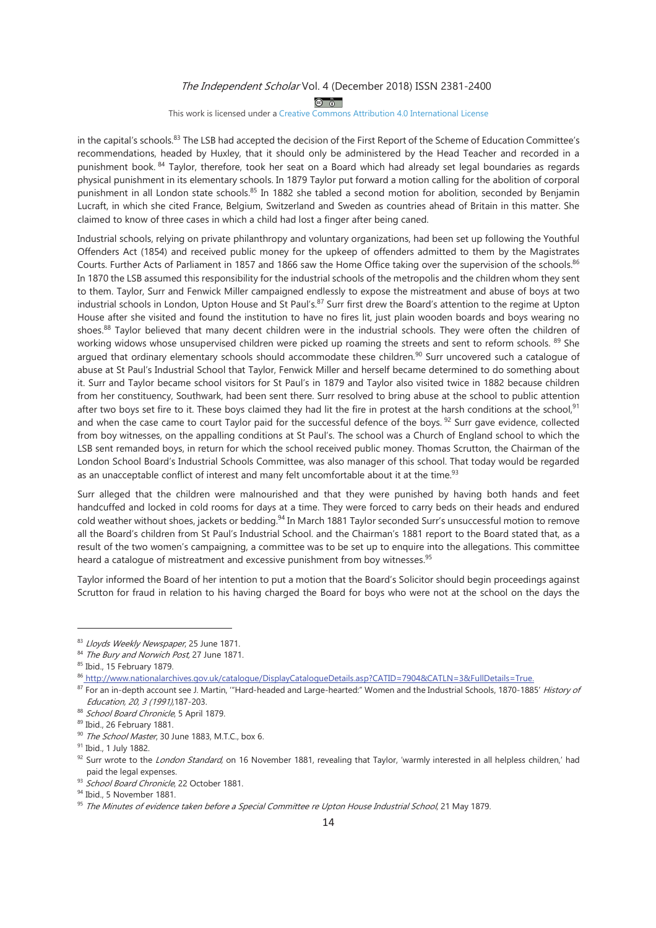$\circledcirc$ 

## This work is licensed under a Creative Commons Attribution 4.0 International License

in the capital's schools.<sup>83</sup> The LSB had accepted the decision of the First Report of the Scheme of Education Committee's recommendations, headed by Huxley, that it should only be administered by the Head Teacher and recorded in a punishment book. <sup>84</sup> Taylor, therefore, took her seat on a Board which had already set legal boundaries as regards physical punishment in its elementary schools. In 1879 Taylor put forward a motion calling for the abolition of corporal punishment in all London state schools.<sup>85</sup> In 1882 she tabled a second motion for abolition, seconded by Benjamin Lucraft, in which she cited France, Belgium, Switzerland and Sweden as countries ahead of Britain in this matter. She claimed to know of three cases in which a child had lost a finger after being caned.

Industrial schools, relying on private philanthropy and voluntary organizations, had been set up following the Youthful Offenders Act (1854) and received public money for the upkeep of offenders admitted to them by the Magistrates Courts. Further Acts of Parliament in 1857 and 1866 saw the Home Office taking over the supervision of the schools.86 In 1870 the LSB assumed this responsibility for the industrial schools of the metropolis and the children whom they sent to them. Taylor, Surr and Fenwick Miller campaigned endlessly to expose the mistreatment and abuse of boys at two industrial schools in London, Upton House and St Paul's.<sup>87</sup> Surr first drew the Board's attention to the regime at Upton House after she visited and found the institution to have no fires lit, just plain wooden boards and boys wearing no shoes.<sup>88</sup> Taylor believed that many decent children were in the industrial schools. They were often the children of working widows whose unsupervised children were picked up roaming the streets and sent to reform schools. 89 She argued that ordinary elementary schools should accommodate these children.<sup>90</sup> Surr uncovered such a cataloque of abuse at St Paul's Industrial School that Taylor, Fenwick Miller and herself became determined to do something about it. Surr and Taylor became school visitors for St Paul's in 1879 and Taylor also visited twice in 1882 because children from her constituency, Southwark, had been sent there. Surr resolved to bring abuse at the school to public attention after two boys set fire to it. These boys claimed they had lit the fire in protest at the harsh conditions at the school,  $91$ and when the case came to court Taylor paid for the successful defence of the boys.<sup>92</sup> Surr gave evidence, collected from boy witnesses, on the appalling conditions at St Paul's. The school was a Church of England school to which the LSB sent remanded boys, in return for which the school received public money. Thomas Scrutton, the Chairman of the London School Board's Industrial Schools Committee, was also manager of this school. That today would be regarded as an unacceptable conflict of interest and many felt uncomfortable about it at the time.<sup>93</sup>

Surr alleged that the children were malnourished and that they were punished by having both hands and feet handcuffed and locked in cold rooms for days at a time. They were forced to carry beds on their heads and endured cold weather without shoes, jackets or bedding.<sup>94</sup> In March 1881 Taylor seconded Surr's unsuccessful motion to remove all the Board's children from St Paul's Industrial School. and the Chairman's 1881 report to the Board stated that, as a result of the two women's campaigning, a committee was to be set up to enquire into the allegations. This committee heard a catalogue of mistreatment and excessive punishment from boy witnesses.<sup>95</sup>

Taylor informed the Board of her intention to put a motion that the Board's Solicitor should begin proceedings against Scrutton for fraud in relation to his having charged the Board for boys who were not at the school on the days the

<sup>83</sup> Llovds Weekly Newspaper, 25 June 1871.

<sup>&</sup>lt;sup>84</sup> The Bury and Norwich Post, 27 June 1871.

<sup>85</sup> Ibid., 15 February 1879.

<sup>86</sup> http://www.nationalarchives.gov.uk/catalogue/DisplayCatalogueDetails.asp?CATID=7904&CATLN=3&FullDetails=True.

<sup>87</sup> For an in-depth account see J. Martin, "Hard-headed and Large-hearted:" Women and the Industrial Schools, 1870-1885' History of Education, 20, 3 (1991), 187-203.

<sup>88</sup> School Board Chronicle, 5 April 1879.

<sup>89</sup> Ibid., 26 February 1881.

<sup>&</sup>lt;sup>90</sup> The School Master, 30 June 1883, M.T.C., box 6.

<sup>91</sup> Ibid., 1 July 1882.

<sup>&</sup>lt;sup>92</sup> Surr wrote to the *London Standard*, on 16 November 1881, revealing that Taylor, 'warmly interested in all helpless children,' had paid the legal expenses.

<sup>&</sup>lt;sup>93</sup> School Board Chronicle, 22 October 1881.

<sup>94</sup> Ibid., 5 November 1881.

<sup>&</sup>lt;sup>95</sup> The Minutes of evidence taken before a Special Committee re Upton House Industrial School, 21 May 1879.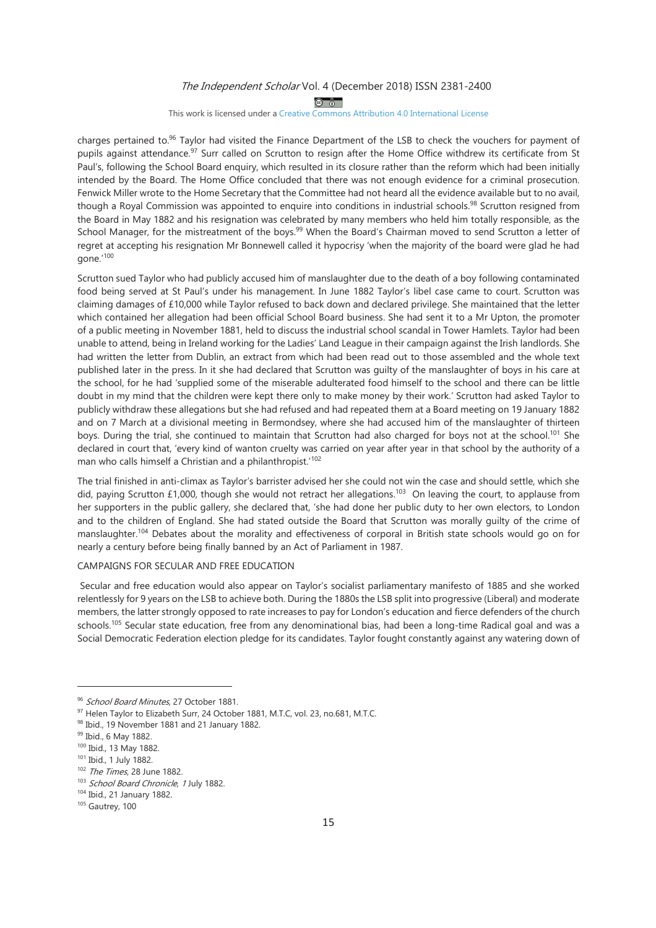$\circledcirc$ 

#### This work is licensed under a Creative Commons Attribution 4.0 International License

charges pertained to.<sup>96</sup> Taylor had visited the Finance Department of the LSB to check the vouchers for payment of pupils against attendance.<sup>97</sup> Surr called on Scrutton to resign after the Home Office withdrew its certificate from St Paul's, following the School Board enguiry, which resulted in its closure rather than the reform which had been initially intended by the Board. The Home Office concluded that there was not enough evidence for a criminal prosecution. Fenwick Miller wrote to the Home Secretary that the Committee had not heard all the evidence available but to no avail, though a Royal Commission was appointed to enquire into conditions in industrial schools.<sup>98</sup> Scrutton resigned from the Board in May 1882 and his resignation was celebrated by many members who held him totally responsible, as the School Manager, for the mistreatment of the boys.<sup>99</sup> When the Board's Chairman moved to send Scrutton a letter of regret at accepting his resignation Mr Bonnewell called it hypocrisy 'when the majority of the board were glad he had gone.'100

Scrutton sued Taylor who had publicly accused him of manslaughter due to the death of a boy following contaminated food being served at St Paul's under his management. In June 1882 Taylor's libel case came to court. Scrutton was claiming damages of £10,000 while Taylor refused to back down and declared privilege. She maintained that the letter which contained her allegation had been official School Board business. She had sent it to a Mr Upton, the promoter of a public meeting in November 1881, held to discuss the industrial school scandal in Tower Hamlets. Taylor had been unable to attend, being in Ireland working for the Ladies' Land League in their campaign against the Irish landlords. She had written the letter from Dublin, an extract from which had been read out to those assembled and the whole text published later in the press. In it she had declared that Scrutton was quilty of the manslaughter of boys in his care at the school, for he had 'supplied some of the miserable adulterated food himself to the school and there can be little doubt in my mind that the children were kept there only to make money by their work.' Scrutton had asked Taylor to publicly withdraw these allegations but she had refused and had repeated them at a Board meeting on 19 January 1882 and on 7 March at a divisional meeting in Bermondsey, where she had accused him of the manslaughter of thirteen boys. During the trial, she continued to maintain that Scrutton had also charged for boys not at the school.<sup>101</sup> She declared in court that, 'every kind of wanton cruelty was carried on year after year in that school by the authority of a man who calls himself a Christian and a philanthropist.'102

The trial finished in anti-climax as Taylor's barrister advised her she could not win the case and should settle, which she did, paying Scrutton £1,000, though she would not retract her allegations.<sup>103</sup> On leaving the court, to applause from her supporters in the public gallery, she declared that, 'she had done her public duty to her own electors, to London and to the children of England. She had stated outside the Board that Scrutton was morally guilty of the crime of manslaughter.<sup>104</sup> Debates about the morality and effectiveness of corporal in British state schools would go on for nearly a century before being finally banned by an Act of Parliament in 1987.

# CAMPAIGNS FOR SECULAR AND FREE EDUCATION

Secular and free education would also appear on Taylor's socialist parliamentary manifesto of 1885 and she worked relentlessly for 9 years on the LSB to achieve both. During the 1880s the LSB split into progressive (Liberal) and moderate members, the latter strongly opposed to rate increases to pay for London's education and fierce defenders of the church schools.<sup>105</sup> Secular state education, free from any denominational bias, had been a long-time Radical goal and was a Social Democratic Federation election pledge for its candidates. Taylor fought constantly against any watering down of

<sup>&</sup>lt;sup>96</sup> School Board Minutes, 27 October 1881.

<sup>97</sup> Helen Taylor to Elizabeth Surr, 24 October 1881, M.T.C, vol. 23, no.681, M.T.C.

<sup>&</sup>lt;sup>98</sup> Ibid., 19 November 1881 and 21 January 1882.

<sup>99</sup> Ibid., 6 May 1882.

<sup>100</sup> Ibid., 13 May 1882.

<sup>&</sup>lt;sup>101</sup> Ibid., 1 July 1882.

<sup>102</sup> The Times, 28 June 1882.

<sup>&</sup>lt;sup>103</sup> School Board Chronicle, 1 July 1882.

<sup>104</sup> Ibid., 21 January 1882.

 $105$  Gautrey, 100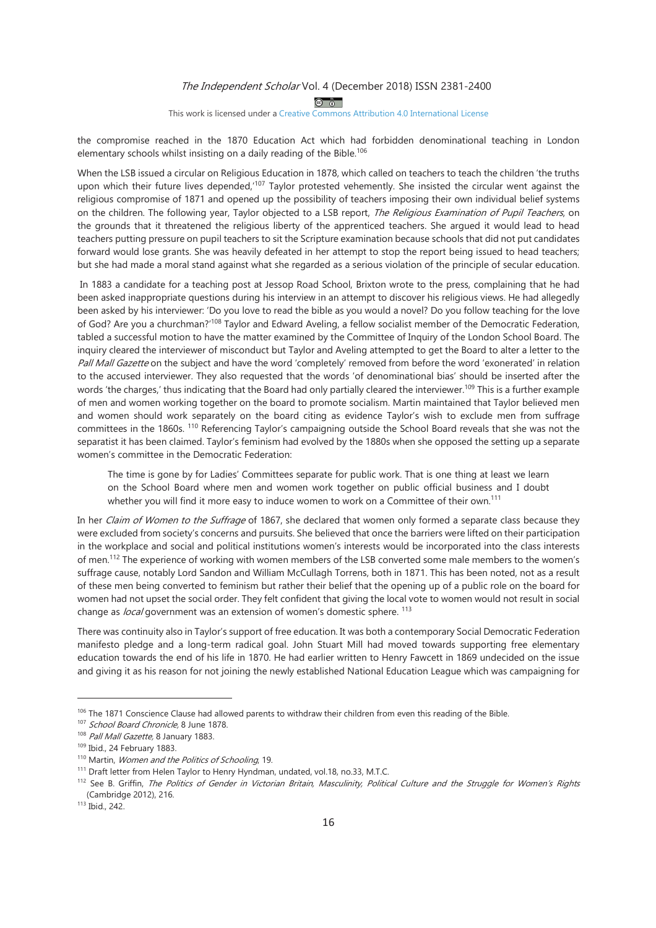$\circledcirc$ 

#### This work is licensed under a Creative Commons Attribution 4.0 International License

the compromise reached in the 1870 Education Act which had forbidden denominational teaching in London elementary schools whilst insisting on a daily reading of the Bible.<sup>106</sup>

When the LSB issued a circular on Religious Education in 1878, which called on teachers to teach the children 'the truths upon which their future lives depended,<sup>107</sup> Taylor protested vehemently. She insisted the circular went against the religious compromise of 1871 and opened up the possibility of teachers imposing their own individual belief systems on the children. The following year, Taylor objected to a LSB report, The Religious Examination of Pupil Teachers, on the grounds that it threatened the religious liberty of the apprenticed teachers. She argued it would lead to head teachers putting pressure on pupil teachers to sit the Scripture examination because schools that did not put candidates forward would lose grants. She was heavily defeated in her attempt to stop the report being issued to head teachers; but she had made a moral stand against what she regarded as a serious violation of the principle of secular education.

In 1883 a candidate for a teaching post at Jessop Road School, Brixton wrote to the press, complaining that he had been asked inappropriate questions during his interview in an attempt to discover his religious views. He had allegedly been asked by his interviewer: 'Do you love to read the bible as you would a novel? Do you follow teaching for the love of God? Are you a churchman?'<sup>108</sup> Taylor and Edward Aveling, a fellow socialist member of the Democratic Federation, tabled a successful motion to have the matter examined by the Committee of Inquiry of the London School Board. The inquiry cleared the interviewer of misconduct but Taylor and Aveling attempted to get the Board to alter a letter to the Pall Mall Gazette on the subject and have the word 'completely' removed from before the word 'exonerated' in relation to the accused interviewer. They also requested that the words 'of denominational bias' should be inserted after the words 'the charges,' thus indicating that the Board had only partially cleared the interviewer.<sup>109</sup> This is a further example of men and women working together on the board to promote socialism. Martin maintained that Taylor believed men and women should work separately on the board citing as evidence Taylor's wish to exclude men from suffrage committees in the 1860s.<sup>110</sup> Referencing Taylor's campaigning outside the School Board reveals that she was not the separatist it has been claimed. Taylor's feminism had evolved by the 1880s when she opposed the setting up a separate women's committee in the Democratic Federation:

The time is gone by for Ladies' Committees separate for public work. That is one thing at least we learn on the School Board where men and women work together on public official business and I doubt whether you will find it more easy to induce women to work on a Committee of their own.<sup>111</sup>

In her Claim of Women to the Suffrage of 1867, she declared that women only formed a separate class because they were excluded from society's concerns and pursuits. She believed that once the barriers were lifted on their participation in the workplace and social and political institutions women's interests would be incorporated into the class interests of men.<sup>112</sup> The experience of working with women members of the LSB converted some male members to the women's suffrage cause, notably Lord Sandon and William McCullagh Torrens, both in 1871. This has been noted, not as a result of these men being converted to feminism but rather their belief that the opening up of a public role on the board for women had not upset the social order. They felt confident that giving the local vote to women would not result in social change as *local* government was an extension of women's domestic sphere.<sup>113</sup>

There was continuity also in Taylor's support of free education. It was both a contemporary Social Democratic Federation manifesto pledge and a long-term radical goal. John Stuart Mill had moved towards supporting free elementary education towards the end of his life in 1870. He had earlier written to Henry Fawcett in 1869 undecided on the issue and giving it as his reason for not joining the newly established National Education League which was campaigning for

<sup>&</sup>lt;sup>106</sup> The 1871 Conscience Clause had allowed parents to withdraw their children from even this reading of the Bible.

<sup>&</sup>lt;sup>107</sup> School Board Chronicle, 8 June 1878.

<sup>&</sup>lt;sup>108</sup> Pall Mall Gazette, 8 January 1883.

<sup>109</sup> Ibid., 24 February 1883.

<sup>&</sup>lt;sup>110</sup> Martin, Women and the Politics of Schooling, 19.

<sup>&</sup>lt;sup>111</sup> Draft letter from Helen Taylor to Henry Hyndman, undated, vol.18, no.33, M.T.C.

<sup>112</sup> See B. Griffin, The Politics of Gender in Victorian Britain, Masculinity, Political Culture and the Struggle for Women's Rights (Cambridge 2012), 216.

 $113$  Ibid., 242.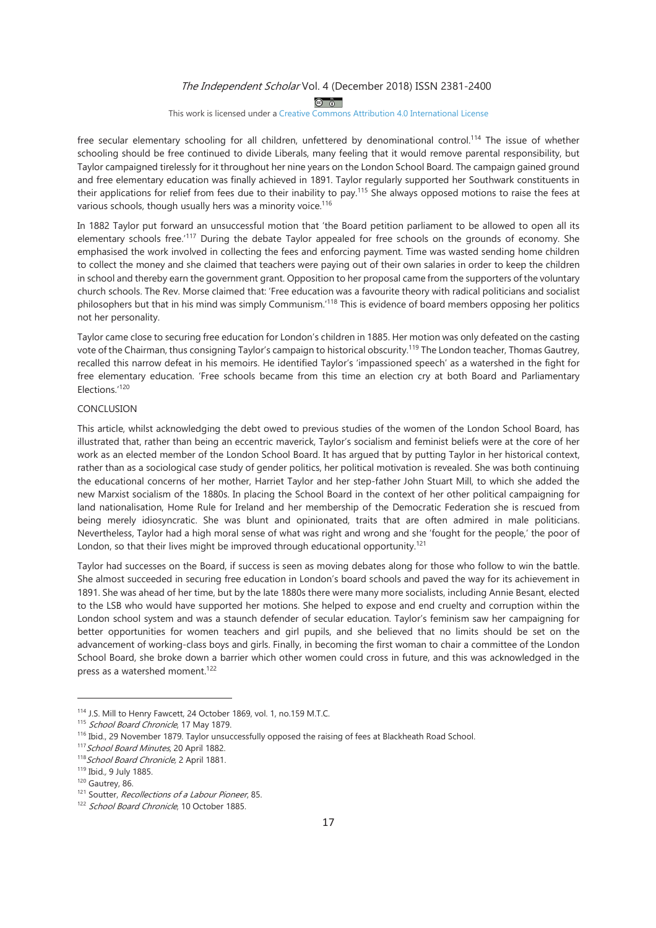$\circledcirc$ 

#### This work is licensed under a Creative Commons Attribution 4.0 International License

free secular elementary schooling for all children, unfettered by denominational control.<sup>114</sup> The issue of whether schooling should be free continued to divide Liberals, many feeling that it would remove parental responsibility, but Taylor campaigned tirelessly for it throughout her nine years on the London School Board. The campaign gained ground and free elementary education was finally achieved in 1891. Taylor regularly supported her Southwark constituents in their applications for relief from fees due to their inability to pay.<sup>115</sup> She always opposed motions to raise the fees at various schools, though usually hers was a minority voice.<sup>116</sup>

In 1882 Taylor put forward an unsuccessful motion that 'the Board petition parliament to be allowed to open all its elementary schools free.<sup>'117</sup> During the debate Taylor appealed for free schools on the grounds of economy. She emphasised the work involved in collecting the fees and enforcing payment. Time was wasted sending home children to collect the money and she claimed that teachers were paying out of their own salaries in order to keep the children in school and thereby earn the government grant. Opposition to her proposal came from the supporters of the voluntary church schools. The Rev. Morse claimed that: 'Free education was a favourite theory with radical politicians and socialist philosophers but that in his mind was simply Communism.<sup>'118</sup> This is evidence of board members opposing her politics not her personality.

Taylor came close to securing free education for London's children in 1885. Her motion was only defeated on the casting vote of the Chairman, thus consigning Taylor's campaign to historical obscurity.<sup>119</sup> The London teacher, Thomas Gautrey, recalled this narrow defeat in his memoirs. He identified Taylor's 'impassioned speech' as a watershed in the fight for free elementary education. 'Free schools became from this time an election cry at both Board and Parliamentary Elections.'120

#### CONCLUSION

This article, whilst acknowledging the debt owed to previous studies of the women of the London School Board, has illustrated that, rather than being an eccentric maverick, Taylor's socialism and feminist beliefs were at the core of her work as an elected member of the London School Board. It has argued that by putting Taylor in her historical context, rather than as a sociological case study of gender politics, her political motivation is revealed. She was both continuing the educational concerns of her mother, Harriet Taylor and her step-father John Stuart Mill, to which she added the new Marxist socialism of the 1880s. In placing the School Board in the context of her other political campaigning for land nationalisation, Home Rule for Ireland and her membership of the Democratic Federation she is rescued from being merely idiosyncratic. She was blunt and opinionated, traits that are often admired in male politicians. Nevertheless, Taylor had a high moral sense of what was right and wrong and she 'fought for the people,' the poor of London, so that their lives might be improved through educational opportunity.<sup>121</sup>

Taylor had successes on the Board, if success is seen as moving debates along for those who follow to win the battle. She almost succeeded in securing free education in London's board schools and paved the way for its achievement in 1891. She was ahead of her time, but by the late 1880s there were many more socialists, including Annie Besant, elected to the LSB who would have supported her motions. She helped to expose and end cruelty and corruption within the London school system and was a staunch defender of secular education. Taylor's feminism saw her campaigning for better opportunities for women teachers and girl pupils, and she believed that no limits should be set on the advancement of working-class boys and girls. Finally, in becoming the first woman to chair a committee of the London School Board, she broke down a barrier which other women could cross in future, and this was acknowledged in the press as a watershed moment.<sup>122</sup>

<sup>114</sup> J.S. Mill to Henry Fawcett, 24 October 1869, vol. 1, no.159 M.T.C.

<sup>115</sup> School Board Chronicle, 17 May 1879.

<sup>&</sup>lt;sup>116</sup> Ibid., 29 November 1879. Taylor unsuccessfully opposed the raising of fees at Blackheath Road School.

<sup>&</sup>lt;sup>117</sup> School Board Minutes, 20 April 1882.

<sup>&</sup>lt;sup>118</sup> School Board Chronicle, 2 April 1881.

<sup>119</sup> Ibid., 9 July 1885.

<sup>&</sup>lt;sup>120</sup> Gautrey, 86.

<sup>&</sup>lt;sup>121</sup> Soutter, Recollections of a Labour Pioneer, 85.

<sup>&</sup>lt;sup>122</sup> School Board Chronicle, 10 October 1885.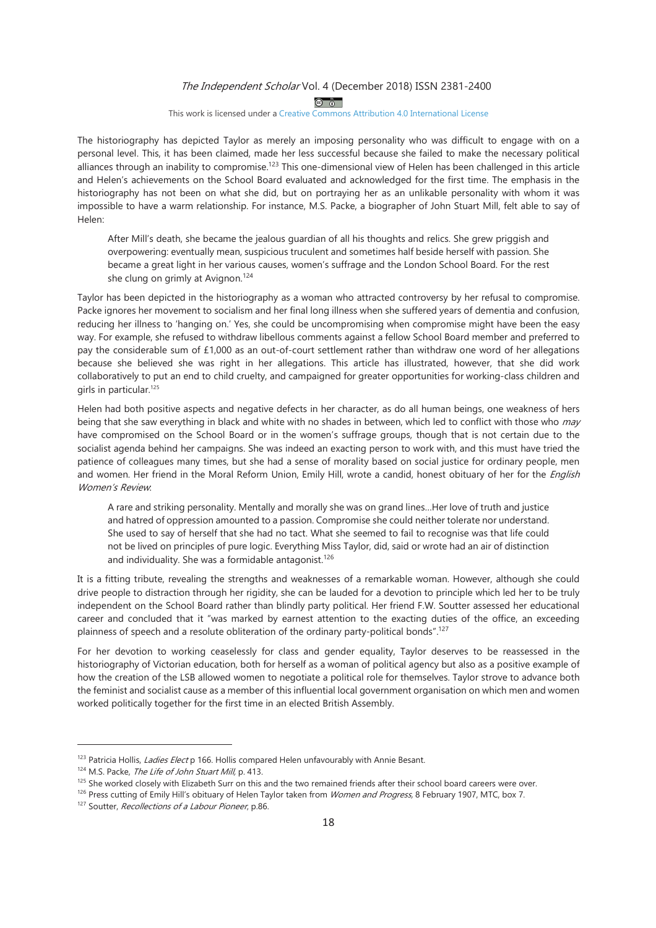$\circledcirc$ 

## This work is licensed under a Creative Commons Attribution 4.0 International License

The historiography has depicted Taylor as merely an imposing personality who was difficult to engage with on a personal level. This, it has been claimed, made her less successful because she failed to make the necessary political alliances through an inability to compromise.<sup>123</sup> This one-dimensional view of Helen has been challenged in this article and Helen's achievements on the School Board evaluated and acknowledged for the first time. The emphasis in the historiography has not been on what she did, but on portraying her as an unlikable personality with whom it was impossible to have a warm relationship. For instance, M.S. Packe, a biographer of John Stuart Mill, felt able to say of Helen:

After Mill's death, she became the jealous quardian of all his thoughts and relics. She grew priggish and overpowering: eventually mean, suspicious truculent and sometimes half beside herself with passion. She became a great light in her various causes, women's suffrage and the London School Board. For the rest she clung on grimly at Avignon.<sup>124</sup>

Taylor has been depicted in the historiography as a woman who attracted controversy by her refusal to compromise. Packe ignores her movement to socialism and her final long illness when she suffered years of dementia and confusion, reducing her illness to 'hanging on.' Yes, she could be uncompromising when compromise might have been the easy way. For example, she refused to withdraw libellous comments against a fellow School Board member and preferred to pay the considerable sum of  $£1,000$  as an out-of-court settlement rather than withdraw one word of her allegations because she believed she was right in her allegations. This article has illustrated, however, that she did work collaboratively to put an end to child cruelty, and campaigned for greater opportunities for working-class children and girls in particular.<sup>125</sup>

Helen had both positive aspects and negative defects in her character, as do all human beings, one weakness of hers being that she saw everything in black and white with no shades in between, which led to conflict with those who may have compromised on the School Board or in the women's suffrage groups, though that is not certain due to the socialist agenda behind her campaigns. She was indeed an exacting person to work with, and this must have tried the patience of colleagues many times, but she had a sense of morality based on social justice for ordinary people, men and women. Her friend in the Moral Reform Union, Emily Hill, wrote a candid, honest obituary of her for the English Women's Review.

A rare and striking personality. Mentally and morally she was on grand lines...Her love of truth and justice and hatred of oppression amounted to a passion. Compromise she could neither tolerate nor understand. She used to say of herself that she had no tact. What she seemed to fail to recognise was that life could not be lived on principles of pure logic. Everything Miss Taylor, did, said or wrote had an air of distinction and individuality. She was a formidable antagonist.<sup>126</sup>

It is a fitting tribute, revealing the strengths and weaknesses of a remarkable woman. However, although she could drive people to distraction through her rigidity, she can be lauded for a devotion to principle which led her to be truly independent on the School Board rather than blindly party political. Her friend F.W. Soutter assessed her educational career and concluded that it "was marked by earnest attention to the exacting duties of the office, an exceeding plainness of speech and a resolute obliteration of the ordinary party-political bonds".<sup>127</sup>

For her devotion to working ceaselessly for class and gender equality, Taylor deserves to be reassessed in the historiography of Victorian education, both for herself as a woman of political agency but also as a positive example of how the creation of the LSB allowed women to negotiate a political role for themselves. Taylor strove to advance both the feminist and socialist cause as a member of this influential local government organisation on which men and women worked politically together for the first time in an elected British Assembly.

<sup>&</sup>lt;sup>123</sup> Patricia Hollis, *Ladies Elect* p 166. Hollis compared Helen unfavourably with Annie Besant.

<sup>&</sup>lt;sup>124</sup> M.S. Packe, The Life of John Stuart Mill, p. 413.

<sup>&</sup>lt;sup>125</sup> She worked closely with Elizabeth Surr on this and the two remained friends after their school board careers were over.

<sup>&</sup>lt;sup>126</sup> Press cutting of Emily Hill's obituary of Helen Taylor taken from Women and Progress, 8 February 1907, MTC, box 7.

<sup>&</sup>lt;sup>127</sup> Soutter, *Recollections of a Labour Pioneer*, p.86.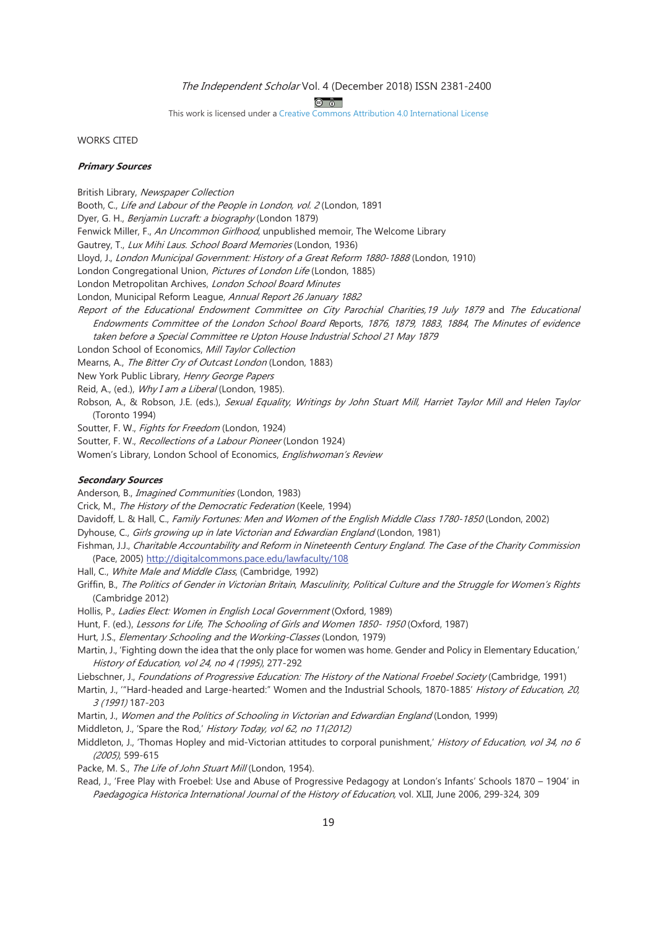$\circledcirc$ 

This work is licensed under a Creative Commons Attribution 4.0 International License

**WORKS CITED** 

#### **Primary Sources**

British Library, Newspaper Collection

Booth, C., Life and Labour of the People in London, vol. 2 (London, 1891

Dyer, G. H., Benjamin Lucraft: a biography (London 1879)

Fenwick Miller, F., An Uncommon Girlhood, unpublished memoir, The Welcome Library

Gautrey, T., Lux Mihi Laus. School Board Memories (London, 1936)

Lloyd, J., London Municipal Government: History of a Great Reform 1880-1888 (London, 1910)

London Congregational Union, Pictures of London Life (London, 1885)

London Metropolitan Archives, London School Board Minutes

London, Municipal Reform League, Annual Report 26 January 1882

Report of the Educational Endowment Committee on City Parochial Charities, 19 July 1879 and The Educational Endowments Committee of the London School Board Reports, 1876, 1879, 1883, 1884, The Minutes of evidence taken before a Special Committee re Upton House Industrial School 21 May 1879

London School of Economics, Mill Taylor Collection

Mearns, A., The Bitter Cry of Outcast London (London, 1883)

New York Public Library, Henry George Papers

Reid, A., (ed.), *Why I am a Liberal* (London, 1985).

Robson, A., & Robson, J.E. (eds.), Sexual Equality, Writings by John Stuart Mill, Harriet Taylor Mill and Helen Taylor (Toronto 1994)

Soutter, F. W., Fights for Freedom (London, 1924)

Soutter, F. W., Recollections of a Labour Pioneer (London 1924)

Women's Library, London School of Economics, Englishwoman's Review

#### **Secondary Sources**

Anderson, B., Imagined Communities (London, 1983)

Crick, M., The History of the Democratic Federation (Keele, 1994)

Davidoff, L. & Hall, C., Family Fortunes: Men and Women of the English Middle Class 1780-1850 (London, 2002)

Dyhouse, C., Girls growing up in late Victorian and Edwardian England (London, 1981)

- Fishman, J.J., Charitable Accountability and Reform in Nineteenth Century England. The Case of the Charity Commission (Pace, 2005) http://digitalcommons.pace.edu/lawfaculty/108
- Hall, C., White Male and Middle Class, (Cambridge, 1992)
- Griffin, B., The Politics of Gender in Victorian Britain, Masculinity, Political Culture and the Struggle for Women's Rights (Cambridge 2012)

Hollis, P., Ladies Elect: Women in English Local Government (Oxford, 1989)

Hunt, F. (ed.), Lessons for Life, The Schooling of Girls and Women 1850-1950 (Oxford, 1987)

Hurt, J.S., Elementary Schooling and the Working-Classes (London, 1979).

- Martin, J., 'Fighting down the idea that the only place for women was home. Gender and Policy in Elementary Education,' History of Education, vol 24, no 4 (1995), 277-292
- Liebschner, J., Foundations of Progressive Education: The History of the National Froebel Society (Cambridge, 1991)

Martin, J., "Hard-headed and Large-hearted:" Women and the Industrial Schools, 1870-1885' History of Education, 20, 3 (1991) 187-203

Martin, J., Women and the Politics of Schooling in Victorian and Edwardian England (London, 1999)

Middleton, J., 'Spare the Rod,' History Today, vol 62, no 11(2012)

Middleton, J., 'Thomas Hopley and mid-Victorian attitudes to corporal punishment,' History of Education, vol 34, no 6 (2005), 599-615

Packe, M. S., The Life of John Stuart Mill (London, 1954).

Read, J., 'Free Play with Froebel: Use and Abuse of Progressive Pedagogy at London's Infants' Schools 1870 - 1904' in Paedagogica Historica International Journal of the History of Education, vol. XLII, June 2006, 299-324, 309